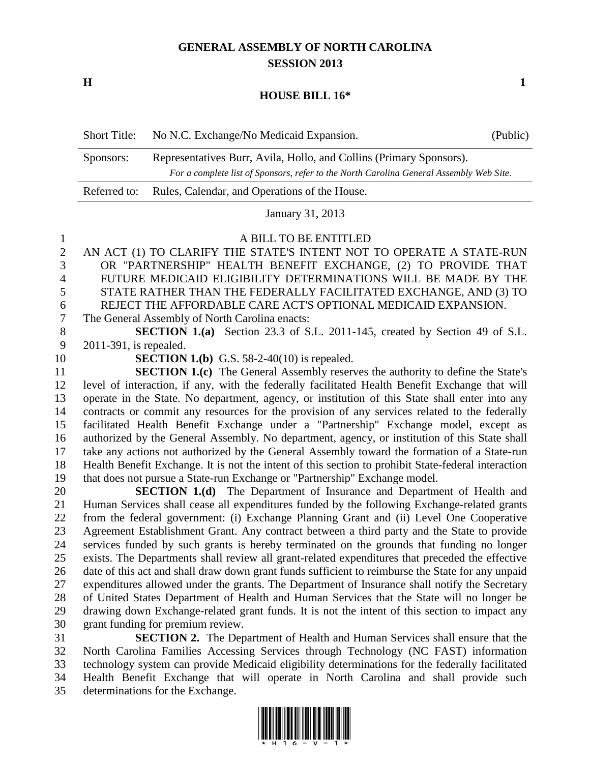## **GENERAL ASSEMBLY OF NORTH CAROLINA SESSION 2013**

**H 1**

## **HOUSE BILL 16\***

|  | Short Title: No N.C. Exchange/No Medicaid Expansion. | (Public) |
|--|------------------------------------------------------|----------|
|--|------------------------------------------------------|----------|

| $ -$      |                                                                                         |
|-----------|-----------------------------------------------------------------------------------------|
|           | For a complete list of Sponsors, refer to the North Carolina General Assembly Web Site. |
| Sponsors: | Representatives Burr, Avila, Hollo, and Collins (Primary Sponsors).                     |

Referred to: Rules, Calendar, and Operations of the House.

January 31, 2013

## A BILL TO BE ENTITLED

- AN ACT (1) TO CLARIFY THE STATE'S INTENT NOT TO OPERATE A STATE-RUN OR "PARTNERSHIP" HEALTH BENEFIT EXCHANGE, (2) TO PROVIDE THAT FUTURE MEDICAID ELIGIBILITY DETERMINATIONS WILL BE MADE BY THE STATE RATHER THAN THE FEDERALLY FACILITATED EXCHANGE, AND (3) TO REJECT THE AFFORDABLE CARE ACT'S OPTIONAL MEDICAID EXPANSION.
- The General Assembly of North Carolina enacts:
- **SECTION 1.(a)** Section 23.3 of S.L. 2011-145, created by Section 49 of S.L. 2011-391, is repealed.
- 

**SECTION 1.(b)** G.S. 58-2-40(10) is repealed.

**SECTION 1.(c)** The General Assembly reserves the authority to define the State's level of interaction, if any, with the federally facilitated Health Benefit Exchange that will operate in the State. No department, agency, or institution of this State shall enter into any contracts or commit any resources for the provision of any services related to the federally facilitated Health Benefit Exchange under a "Partnership" Exchange model, except as authorized by the General Assembly. No department, agency, or institution of this State shall take any actions not authorized by the General Assembly toward the formation of a State-run Health Benefit Exchange. It is not the intent of this section to prohibit State-federal interaction that does not pursue a State-run Exchange or "Partnership" Exchange model.

 **SECTION 1.(d)** The Department of Insurance and Department of Health and Human Services shall cease all expenditures funded by the following Exchange-related grants from the federal government: (i) Exchange Planning Grant and (ii) Level One Cooperative Agreement Establishment Grant. Any contract between a third party and the State to provide services funded by such grants is hereby terminated on the grounds that funding no longer exists. The Departments shall review all grant-related expenditures that preceded the effective date of this act and shall draw down grant funds sufficient to reimburse the State for any unpaid expenditures allowed under the grants. The Department of Insurance shall notify the Secretary of United States Department of Health and Human Services that the State will no longer be drawing down Exchange-related grant funds. It is not the intent of this section to impact any grant funding for premium review.

 **SECTION 2.** The Department of Health and Human Services shall ensure that the North Carolina Families Accessing Services through Technology (NC FAST) information technology system can provide Medicaid eligibility determinations for the federally facilitated Health Benefit Exchange that will operate in North Carolina and shall provide such determinations for the Exchange.